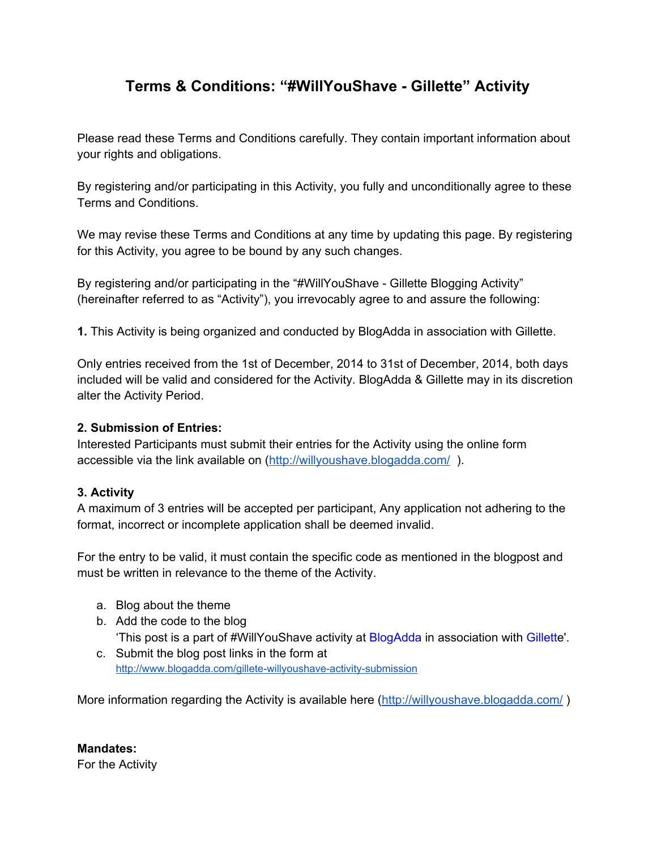# **Terms & Conditions: "#WillYouShave Gillette" Activity**

Please read these Terms and Conditions carefully. They contain important information about your rights and obligations.

By registering and/or participating in this Activity, you fully and unconditionally agree to these Terms and Conditions.

We may revise these Terms and Conditions at any time by updating this page. By registering for this Activity, you agree to be bound by any such changes.

By registering and/or participating in the "#WillYouShave - Gillette Blogging Activity" (hereinafter referred to as "Activity"), you irrevocably agree to and assure the following:

**1.** This Activity is being organized and conducted by BlogAdda in association with Gillette.

Only entries received from the 1st of December, 2014 to 31st of December, 2014, both days included will be valid and considered for the Activity. BlogAdda & Gillette may in its discretion alter the Activity Period.

#### **2. Submission of Entries:**

Interested Participants must submit their entries for the Activity using the online form accessible via the link available on [\(http://willyoushave.blogadda.com/](http://www.google.com/url?q=http%3A%2F%2Fwillyoushave.blogadda.com%2F&sa=D&sntz=1&usg=AFQjCNEuKABBzNuFOdOK_ZHowWdIKJe_RA)).

#### **3. Activity**

A maximum of 3 entries will be accepted per participant, Any application not adhering to the format, incorrect or incomplete application shall be deemed invalid.

For the entry to be valid, it must contain the specific code as mentioned in the blogpost and must be written in relevance to the theme of the Activity.

- a. Blog about the theme
- b. Add the code to the blog 'This post is a part of #WillYouShave activity at [BlogAdda](http://www.google.com/url?q=http%3A%2F%2Fwww.blogadda.com%2F&sa=D&sntz=1&usg=AFQjCNF8MBXMxfe6g_dSG43CsLpa_USOFw) in association with [Gillette](http://www.google.com/url?q=http%3A%2F%2Fwww.flipkart.com%2Fgillette&sa=D&sntz=1&usg=AFQjCNFbzI3TsY7pTj2TnBcn-QcBM3NxKQ)'.
- c. Submit the blog post links in the form at http://www.blogadda.com/gillete-willyoushave-activity-submission

More information regarding the Activity is available here ([http://willyoushave.blogadda.com/](http://www.google.com/url?q=http%3A%2F%2Fwillyoushave.blogadda.com%2F&sa=D&sntz=1&usg=AFQjCNEuKABBzNuFOdOK_ZHowWdIKJe_RA))

**Mandates:** For the Activity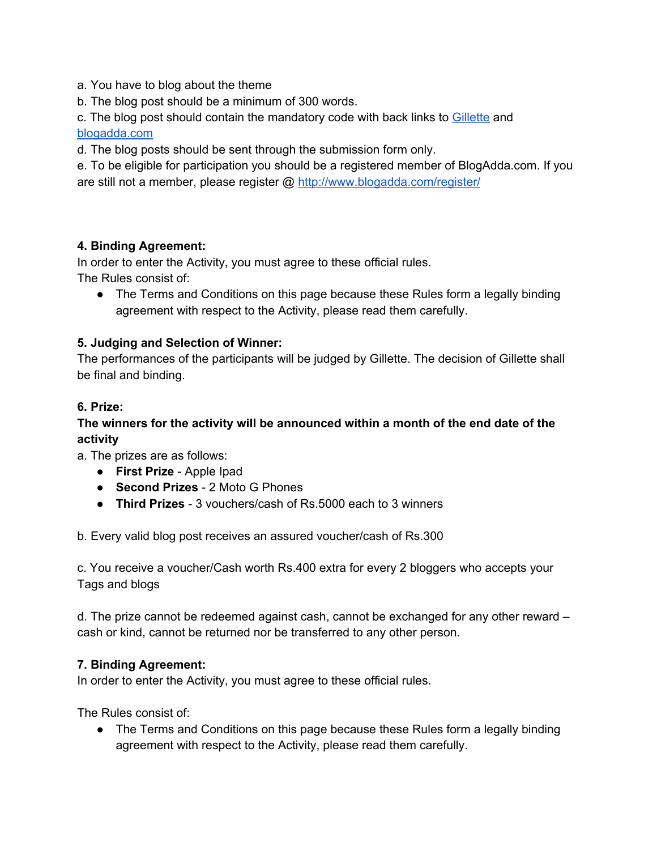a. You have to blog about the theme

b. The blog post should be a minimum of 300 words.

c. The blog post should contain the mandatory code with back links to [Gillette](http://www.google.com/url?q=http%3A%2F%2Fwww.flipkart.com%2Fgillette&sa=D&sntz=1&usg=AFQjCNFbzI3TsY7pTj2TnBcn-QcBM3NxKQ) and [blogadda.com](http://www.google.com/url?q=http%3A%2F%2Fblogadda.com&sa=D&sntz=1&usg=AFQjCNGDSPaYi1yKPguPecY-E93e1RIQGg)

d. The blog posts should be sent through the submission form only.

e. To be eligible for participation you should be a registered member of BlogAdda.com. If you are still not a member, please register @ [http://www.blogadda.com/register/](http://www.google.com/url?q=http%3A%2F%2Fwww.blogadda.com%2Fregister%2F&sa=D&sntz=1&usg=AFQjCNFgU8uPl5gJU2_ucfP5G4FyPs6bOA)

# **4. Binding Agreement:**

In order to enter the Activity, you must agree to these official rules. The Rules consist of:

● The Terms and Conditions on this page because these Rules form a legally binding agreement with respect to the Activity, please read them carefully.

# **5. Judging and Selection of Winner:**

The performances of the participants will be judged by Gillette. The decision of Gillette shall be final and binding.

# **6. Prize:**

# **The winners for the activity will be announced within a month of the end date of the activity**

a. The prizes are as follows:

- **First Prize** Apple Ipad
- **Second Prizes** 2 Moto G Phones
- **Third Prizes** 3 vouchers/cash of Rs.5000 each to 3 winners

b. Every valid blog post receives an assured voucher/cash of Rs.300

c. You receive a voucher/Cash worth Rs.400 extra for every 2 bloggers who accepts your Tags and blogs

d. The prize cannot be redeemed against cash, cannot be exchanged for any other reward – cash or kind, cannot be returned nor be transferred to any other person.

#### **7. Binding Agreement:**

In order to enter the Activity, you must agree to these official rules.

The Rules consist of:

● The Terms and Conditions on this page because these Rules form a legally binding agreement with respect to the Activity, please read them carefully.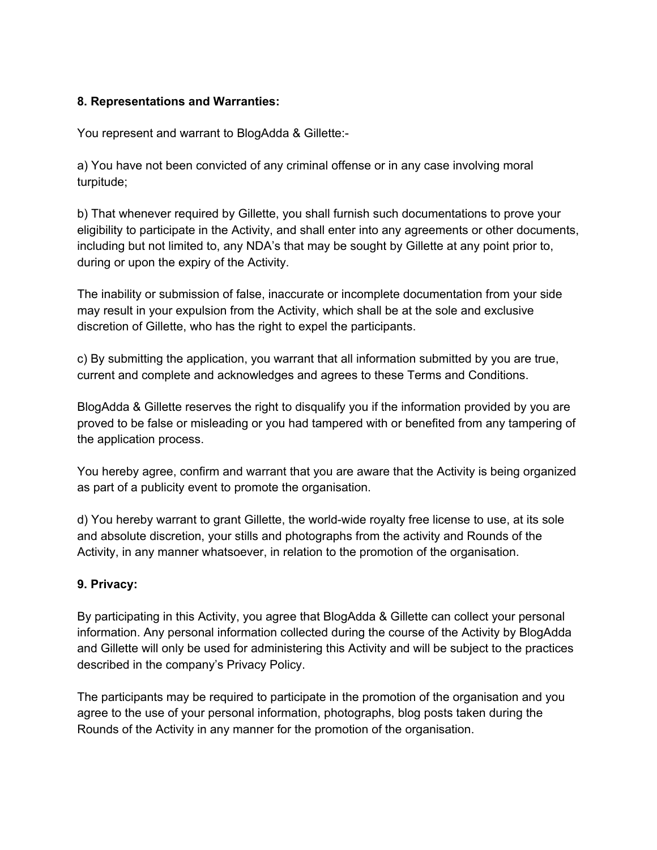#### **8. Representations and Warranties:**

You represent and warrant to BlogAdda & Gillette:

a) You have not been convicted of any criminal offense or in any case involving moral turpitude;

b) That whenever required by Gillette, you shall furnish such documentations to prove your eligibility to participate in the Activity, and shall enter into any agreements or other documents, including but not limited to, any NDA's that may be sought by Gillette at any point prior to, during or upon the expiry of the Activity.

The inability or submission of false, inaccurate or incomplete documentation from your side may result in your expulsion from the Activity, which shall be at the sole and exclusive discretion of Gillette, who has the right to expel the participants.

c) By submitting the application, you warrant that all information submitted by you are true, current and complete and acknowledges and agrees to these Terms and Conditions.

BlogAdda & Gillette reserves the right to disqualify you if the information provided by you are proved to be false or misleading or you had tampered with or benefited from any tampering of the application process.

You hereby agree, confirm and warrant that you are aware that the Activity is being organized as part of a publicity event to promote the organisation.

d) You hereby warrant to grant Gillette, the world-wide royalty free license to use, at its sole and absolute discretion, your stills and photographs from the activity and Rounds of the Activity, in any manner whatsoever, in relation to the promotion of the organisation.

# **9. Privacy:**

By participating in this Activity, you agree that BlogAdda & Gillette can collect your personal information. Any personal information collected during the course of the Activity by BlogAdda and Gillette will only be used for administering this Activity and will be subject to the practices described in the company's Privacy Policy.

The participants may be required to participate in the promotion of the organisation and you agree to the use of your personal information, photographs, blog posts taken during the Rounds of the Activity in any manner for the promotion of the organisation.